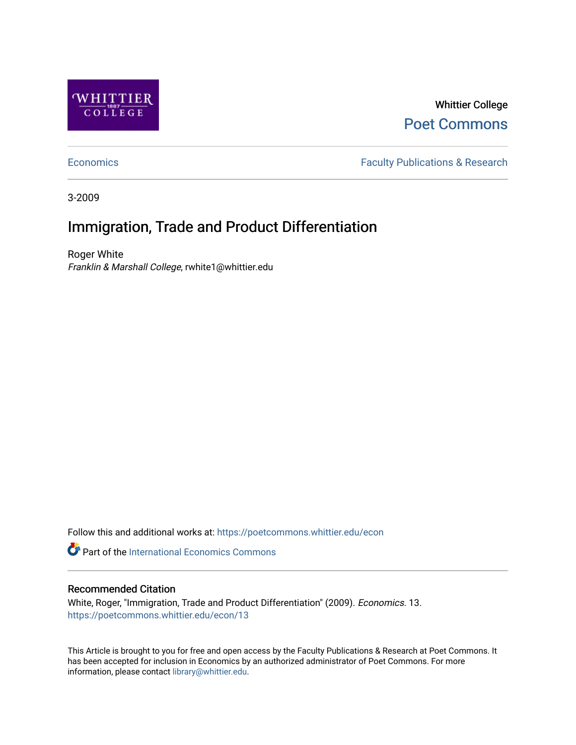

Whittier College [Poet Commons](https://poetcommons.whittier.edu/) 

[Economics](https://poetcommons.whittier.edu/econ) **Faculty Publications & Research** 

3-2009

# Immigration, Trade and Product Differentiation

Roger White Franklin & Marshall College, rwhite1@whittier.edu

Follow this and additional works at: [https://poetcommons.whittier.edu/econ](https://poetcommons.whittier.edu/econ?utm_source=poetcommons.whittier.edu%2Fecon%2F13&utm_medium=PDF&utm_campaign=PDFCoverPages)

**Part of the International Economics Commons** 

### Recommended Citation

White, Roger, "Immigration, Trade and Product Differentiation" (2009). Economics. 13. [https://poetcommons.whittier.edu/econ/13](https://poetcommons.whittier.edu/econ/13?utm_source=poetcommons.whittier.edu%2Fecon%2F13&utm_medium=PDF&utm_campaign=PDFCoverPages) 

This Article is brought to you for free and open access by the Faculty Publications & Research at Poet Commons. It has been accepted for inclusion in Economics by an authorized administrator of Poet Commons. For more information, please contact [library@whittier.edu.](mailto:library@whittier.edu)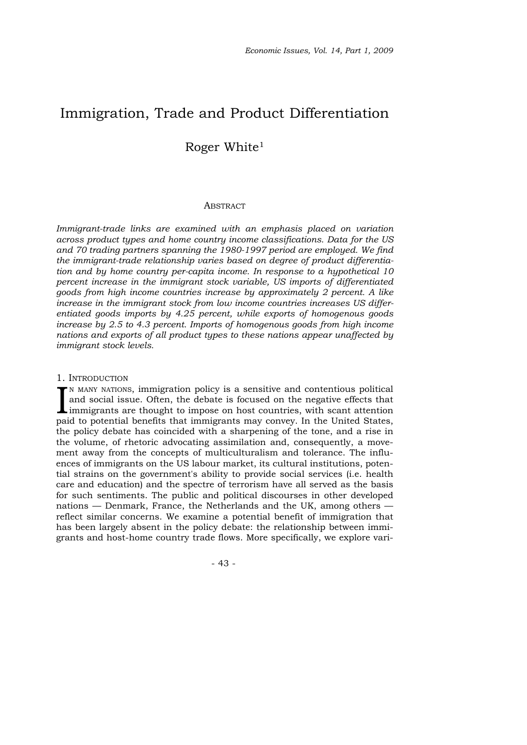## Immigration, Trade and Product Differentiation

### Roger White1

#### **ABSTRACT**

*Immigrant-trade links are examined with an emphasis placed on variation across product types and home country income classifications. Data for the US and 70 trading partners spanning the 1980-1997 period are employed. We find the immigrant-trade relationship varies based on degree of product differentiation and by home country per-capita income. In response to a hypothetical 10 percent increase in the immigrant stock variable, US imports of differentiated goods from high income countries increase by approximately 2 percent. A like increase in the immigrant stock from low income countries increases US differentiated goods imports by 4.25 percent, while exports of homogenous goods increase by 2.5 to 4.3 percent. Imports of homogenous goods from high income nations and exports of all product types to these nations appear unaffected by immigrant stock levels.* 

#### 1. INTRODUCTION

IN MANY NATIONS, immigration policy is a sensitive and contentious political<br>and social issue. Often, the debate is focused on the negative effects that<br>immigrants are thought to impose on host countries, with scant attent  $\mathsf{P}$ N MANY NATIONS, immigration policy is a sensitive and contentious political and social issue. Often, the debate is focused on the negative effects that paid to potential benefits that immigrants may convey. In the United States, the policy debate has coincided with a sharpening of the tone, and a rise in the volume, of rhetoric advocating assimilation and, consequently, a movement away from the concepts of multiculturalism and tolerance. The influences of immigrants on the US labour market, its cultural institutions, potential strains on the government's ability to provide social services (i.e. health care and education) and the spectre of terrorism have all served as the basis for such sentiments. The public and political discourses in other developed nations — Denmark, France, the Netherlands and the UK, among others reflect similar concerns. We examine a potential benefit of immigration that has been largely absent in the policy debate: the relationship between immigrants and host-home country trade flows. More specifically, we explore vari-

- 43 -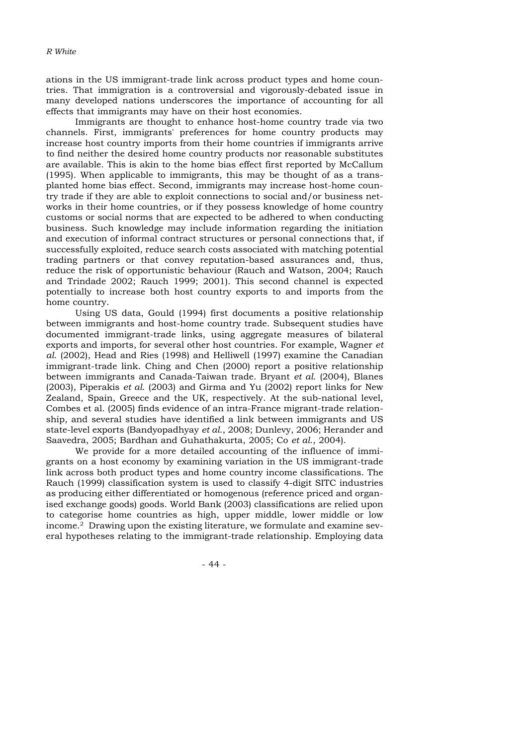ations in the US immigrant-trade link across product types and home countries. That immigration is a controversial and vigorously-debated issue in many developed nations underscores the importance of accounting for all effects that immigrants may have on their host economies.

Immigrants are thought to enhance host-home country trade via two channels. First, immigrants' preferences for home country products may increase host country imports from their home countries if immigrants arrive to find neither the desired home country products nor reasonable substitutes are available. This is akin to the home bias effect first reported by McCallum (1995). When applicable to immigrants, this may be thought of as a transplanted home bias effect. Second, immigrants may increase host-home country trade if they are able to exploit connections to social and/or business networks in their home countries, or if they possess knowledge of home country customs or social norms that are expected to be adhered to when conducting business. Such knowledge may include information regarding the initiation and execution of informal contract structures or personal connections that, if successfully exploited, reduce search costs associated with matching potential trading partners or that convey reputation-based assurances and, thus, reduce the risk of opportunistic behaviour (Rauch and Watson, 2004; Rauch and Trindade 2002; Rauch 1999; 2001). This second channel is expected potentially to increase both host country exports to and imports from the home country.

Using US data, Gould (1994) first documents a positive relationship between immigrants and host-home country trade. Subsequent studies have documented immigrant-trade links, using aggregate measures of bilateral exports and imports, for several other host countries. For example, Wagner *et al*. (2002), Head and Ries (1998) and Helliwell (1997) examine the Canadian immigrant-trade link. Ching and Chen (2000) report a positive relationship between immigrants and Canada-Taiwan trade. Bryant *et al*. (2004), Blanes (2003), Piperakis *et al*. (2003) and Girma and Yu (2002) report links for New Zealand, Spain, Greece and the UK, respectively. At the sub-national level, Combes et al. (2005) finds evidence of an intra-France migrant-trade relationship, and several studies have identified a link between immigrants and US state-level exports (Bandyopadhyay *et al*., 2008; Dunlevy, 2006; Herander and Saavedra, 2005; Bardhan and Guhathakurta, 2005; Co *et al*., 2004).

We provide for a more detailed accounting of the influence of immigrants on a host economy by examining variation in the US immigrant-trade link across both product types and home country income classifications. The Rauch (1999) classification system is used to classify 4-digit SITC industries as producing either differentiated or homogenous (reference priced and organised exchange goods) goods. World Bank (2003) classifications are relied upon to categorise home countries as high, upper middle, lower middle or low income.2 Drawing upon the existing literature, we formulate and examine several hypotheses relating to the immigrant-trade relationship. Employing data

- 44 -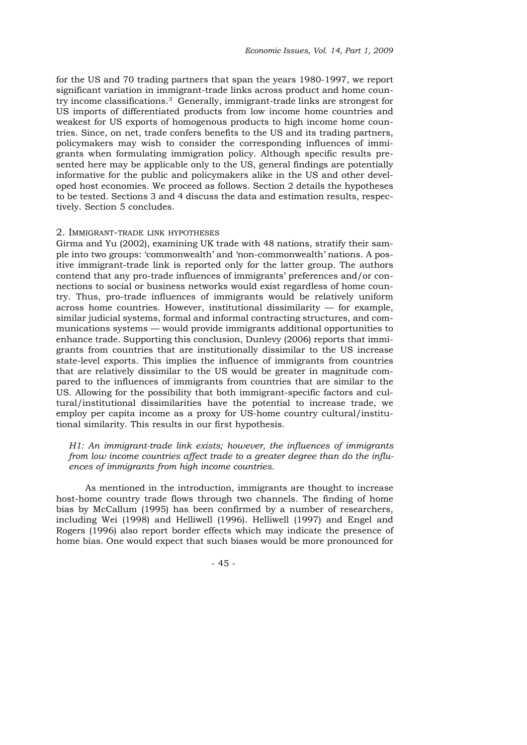for the US and 70 trading partners that span the years 1980-1997, we report significant variation in immigrant-trade links across product and home country income classifications.3 Generally, immigrant-trade links are strongest for US imports of differentiated products from low income home countries and weakest for US exports of homogenous products to high income home countries. Since, on net, trade confers benefits to the US and its trading partners, policymakers may wish to consider the corresponding influences of immigrants when formulating immigration policy. Although specific results presented here may be applicable only to the US, general findings are potentially informative for the public and policymakers alike in the US and other developed host economies. We proceed as follows. Section 2 details the hypotheses to be tested. Sections 3 and 4 discuss the data and estimation results, respectively. Section 5 concludes.

#### 2. IMMIGRANT-TRADE LINK HYPOTHESES

Girma and Yu (2002), examining UK trade with 48 nations, stratify their sample into two groups: 'commonwealth' and 'non-commonwealth' nations. A positive immigrant-trade link is reported only for the latter group. The authors contend that any pro-trade influences of immigrants' preferences and/or connections to social or business networks would exist regardless of home country. Thus, pro-trade influences of immigrants would be relatively uniform across home countries. However, institutional dissimilarity — for example, similar judicial systems, formal and informal contracting structures, and communications systems — would provide immigrants additional opportunities to enhance trade. Supporting this conclusion, Dunlevy (2006) reports that immigrants from countries that are institutionally dissimilar to the US increase state-level exports. This implies the influence of immigrants from countries that are relatively dissimilar to the US would be greater in magnitude compared to the influences of immigrants from countries that are similar to the US. Allowing for the possibility that both immigrant-specific factors and cultural/institutional dissimilarities have the potential to increase trade, we employ per capita income as a proxy for US-home country cultural/institutional similarity. This results in our first hypothesis.

*H1: An immigrant-trade link exists; however, the influences of immigrants from low income countries affect trade to a greater degree than do the influences of immigrants from high income countries.*

As mentioned in the introduction, immigrants are thought to increase host-home country trade flows through two channels. The finding of home bias by McCallum (1995) has been confirmed by a number of researchers, including Wei (1998) and Helliwell (1996). Helliwell (1997) and Engel and Rogers (1996) also report border effects which may indicate the presence of home bias. One would expect that such biases would be more pronounced for

- 45 -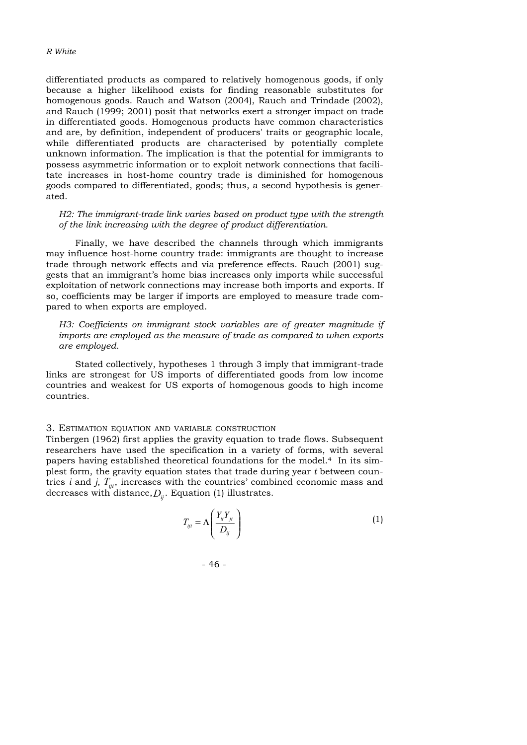differentiated products as compared to relatively homogenous goods, if only because a higher likelihood exists for finding reasonable substitutes for homogenous goods. Rauch and Watson (2004), Rauch and Trindade (2002), and Rauch (1999; 2001) posit that networks exert a stronger impact on trade in differentiated goods. Homogenous products have common characteristics and are, by definition, independent of producers' traits or geographic locale, while differentiated products are characterised by potentially complete unknown information. The implication is that the potential for immigrants to possess asymmetric information or to exploit network connections that facilitate increases in host-home country trade is diminished for homogenous goods compared to differentiated, goods; thus, a second hypothesis is generated.

*H2: The immigrant-trade link varies based on product type with the strength of the link increasing with the degree of product differentiation.*

Finally, we have described the channels through which immigrants may influence host-home country trade: immigrants are thought to increase trade through network effects and via preference effects. Rauch (2001) suggests that an immigrant's home bias increases only imports while successful exploitation of network connections may increase both imports and exports. If so, coefficients may be larger if imports are employed to measure trade compared to when exports are employed.

*H3: Coefficients on immigrant stock variables are of greater magnitude if imports are employed as the measure of trade as compared to when exports are employed.*

Stated collectively, hypotheses 1 through 3 imply that immigrant-trade links are strongest for US imports of differentiated goods from low income countries and weakest for US exports of homogenous goods to high income countries.

#### 3. ESTIMATION EQUATION AND VARIABLE CONSTRUCTION

Tinbergen (1962) first applies the gravity equation to trade flows. Subsequent researchers have used the specification in a variety of forms, with several papers having established theoretical foundations for the model.<sup>4</sup> In its simplest form, the gravity equation states that trade during year *t* between countries *i* and *j*,  $T_{ijt}$ , increases with the countries' combined economic mass and decreases with distance, $D_{\scriptstyle ij}$ . Equation (1) illustrates.

$$
T_{ijt} = \Lambda \left( \frac{Y_{ii} Y_{jt}}{D_{ij}} \right) \tag{1}
$$

- 46 -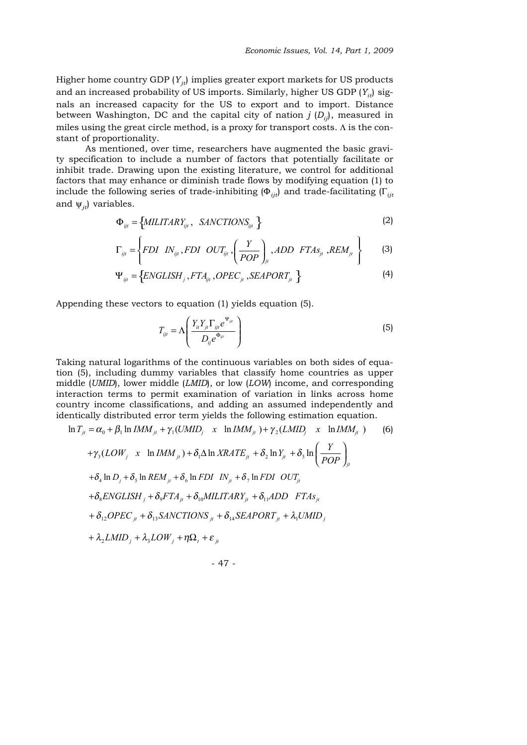Higher home country GDP  $(Y_{ij})$  implies greater export markets for US products and an increased probability of US imports. Similarly, higher US GDP  $(Y_{ij})$  signals an increased capacity for the US to export and to import. Distance between Washington, DC and the capital city of nation  $j(D_{ij})$ , measured in miles using the great circle method, is a proxy for transport costs. Λ is the constant of proportionality.

As mentioned, over time, researchers have augmented the basic gravity specification to include a number of factors that potentially facilitate or inhibit trade. Drawing upon the existing literature, we control for additional factors that may enhance or diminish trade flows by modifying equation (1) to include the following series of trade-inhibiting (Φ*ijt*) and trade-facilitating (Γ*ijt* and  $\psi_{it}$ ) variables.

$$
\Phi_{ijt} = \left\{ \text{MILITARY}_{ijt} \,, \quad \text{SANCTIONS}_{ijt} \right\} \tag{2}
$$

$$
\Gamma_{ijt} = \left\{ FDI \quad IN_{ijt}, FDI \quad OUT_{ijt}, \left( \frac{Y}{POP} \right)_{jt}, ADD \quad FTAs_{jt}, REM_{jt} \right\}
$$
 (3)

$$
\Psi_{ijt} = \left\{ENGLISH_j, FTA_{ijt}, OPEC_{jt}, SEAPORT_{jt} \right\}
$$
 (4)

Appending these vectors to equation (1) yields equation (5).

$$
T_{ijt} = \Lambda \left( \frac{Y_{il} Y_{jl} \Gamma_{ijt} e^{\Psi_{ijt}}}{D_{ij} e^{\Phi_{ijt}}} \right)
$$
 (5)

Taking natural logarithms of the continuous variables on both sides of equation (5), including dummy variables that classify home countries as upper middle (*UMID*), lower middle (*LMID*), or low (*LOW*) income, and corresponding interaction terms to permit examination of variation in links across home country income classifications, and adding an assumed independently and identically distributed error term yields the following estimation equation.

$$
\ln T_{ji} = \alpha_0 + \beta_1 \ln IMM_{ji} + \gamma_1 (UMID_j \quad x \quad \ln IMM_{ji}) + \gamma_2 (LMID_j \quad x \quad \ln IMM_{ji}) \tag{6}
$$
\n
$$
+ \gamma_3 (LOW_j \quad x \quad \ln IMM_{ji}) + \delta_1 \Delta \ln XRATE_{ji} + \delta_2 \ln Y_{ji} + \delta_3 \ln \left(\frac{Y}{POP}\right)_{ji}
$$
\n
$$
+ \delta_4 \ln D_j + \delta_5 \ln REM_{ji} + \delta_6 \ln FDI \quad IN_{ji} + \delta_7 \ln FDI \quad OUT_{ji}
$$
\n
$$
+ \delta_8 ENGLISH_j + \delta_9 FTA_{ji} + \delta_{10} MILITARY_{ji} + \delta_{11} ADD \quad FTAs_{ji}
$$
\n
$$
+ \delta_{12} OPEC_{ji} + \delta_{13} SANCTIONS_{ji} + \delta_{14} SEAPORT_{ji} + \lambda_1 UMID_j
$$
\n
$$
+ \lambda_2 LMID_j + \lambda_3 LOW_j + \eta \Omega_i + \varepsilon_{ji}
$$

$$
-47 -
$$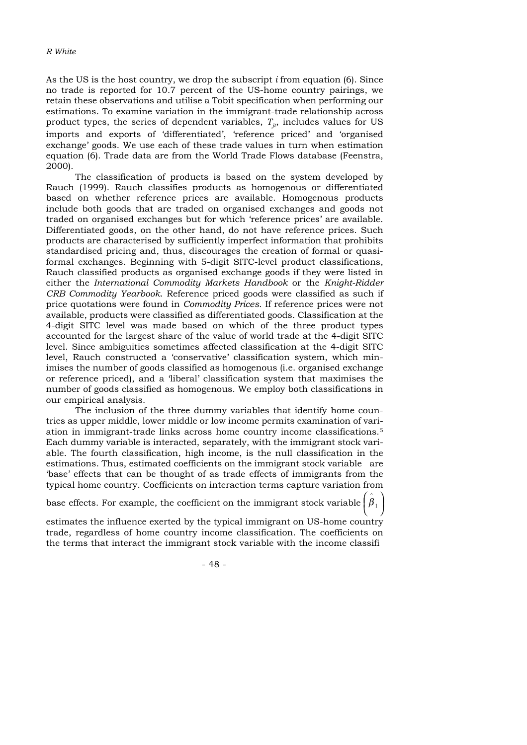As the US is the host country, we drop the subscript *i* from equation (6). Since no trade is reported for 10.7 percent of the US-home country pairings, we retain these observations and utilise a Tobit specification when performing our estimations. To examine variation in the immigrant-trade relationship across product types, the series of dependent variables,  $T_{ij}$ , includes values for US imports and exports of 'differentiated', 'reference priced' and 'organised exchange' goods. We use each of these trade values in turn when estimation equation (6). Trade data are from the World Trade Flows database (Feenstra, 2000).

The classification of products is based on the system developed by Rauch (1999). Rauch classifies products as homogenous or differentiated based on whether reference prices are available. Homogenous products include both goods that are traded on organised exchanges and goods not traded on organised exchanges but for which 'reference prices' are available. Differentiated goods, on the other hand, do not have reference prices. Such products are characterised by sufficiently imperfect information that prohibits standardised pricing and, thus, discourages the creation of formal or quasiformal exchanges. Beginning with 5-digit SITC-level product classifications, Rauch classified products as organised exchange goods if they were listed in either the *International Commodity Markets Handbook* or the *Knight-Ridder CRB Commodity Yearbook*. Reference priced goods were classified as such if price quotations were found in *Commodity Prices*. If reference prices were not available, products were classified as differentiated goods. Classification at the 4-digit SITC level was made based on which of the three product types accounted for the largest share of the value of world trade at the 4-digit SITC level. Since ambiguities sometimes affected classification at the 4-digit SITC level, Rauch constructed a 'conservative' classification system, which minimises the number of goods classified as homogenous (i.e. organised exchange or reference priced), and a 'liberal' classification system that maximises the number of goods classified as homogenous. We employ both classifications in our empirical analysis.

The inclusion of the three dummy variables that identify home countries as upper middle, lower middle or low income permits examination of variation in immigrant-trade links across home country income classifications.5 Each dummy variable is interacted, separately, with the immigrant stock variable. The fourth classification, high income, is the null classification in the estimations. Thus, estimated coefficients on the immigrant stock variable are 'base' effects that can be thought of as trade effects of immigrants from the typical home country. Coefficients on interaction terms capture variation from

base effects. For example, the coefficient on the immigrant stock variable  $\left(\stackrel{\,\,\,\circ}{\rho}_1\right)$ ⎠  $\int \stackrel{\wedge}{\beta}_1$ 

^

estimates the influence exerted by the typical immigrant on US-home country trade, regardless of home country income classification. The coefficients on the terms that interact the immigrant stock variable with the income classifi

- 48 -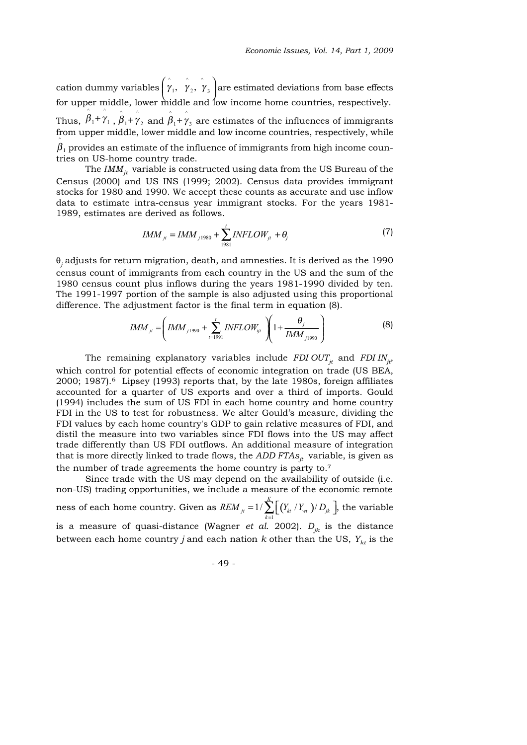cation dummy variables  $\gamma_1$ ,  $\gamma_2$ ,  $\gamma_3$  are estimated deviations from base effects for upper middle, lower middle and low income home countries, respectively. Thus,  $\beta_1 + \gamma_1$ ,  $\beta_1 + \gamma_2$  and  $\beta_1 + \gamma_3$  are estimates of the influences of immigrants from upper middle, lower middle and low income countries, respectively, while  $\beta_{\scriptscriptstyle\perp}$  provides an estimate of the influence of immigrants from high income countries on US-home country trade.  $\left(\stackrel{\wedge}{\gamma}_1, \stackrel{\wedge}{\gamma}_2, \stackrel{\wedge}{\gamma}_3 \right)$  $\wedge$   $\wedge$  $\overset{\,\,{}_\circ}{\beta}_{1} + \overset{\,\,{}_\circ}{\gamma}_{1}$  ,  $\overset{\,\,{}_\circ}{\beta}_{1} + \overset{\,\,{}_\circ}{\gamma}_{2}$  and  $\overset{\,\,{}_\circ}{\beta}_{1} + \overset{\,\,{}_\circ}{\gamma}_{3}$ ^

The  $IMM_{it}$  variable is constructed using data from the US Bureau of the Census (2000) and US INS (1999; 2002). Census data provides immigrant stocks for 1980 and 1990. We accept these counts as accurate and use inflow data to estimate intra-census year immigrant stocks. For the years 1981- 1989, estimates are derived as follows.

$$
IMM_{ji} = IMM_{j1980} + \sum_{1981}^{t} INFLOW_{ji} + \theta_j
$$
 (7)

θ*<sup>j</sup>* adjusts for return migration, death, and amnesties. It is derived as the 1990 census count of immigrants from each country in the US and the sum of the 1980 census count plus inflows during the years 1981-1990 divided by ten. The 1991-1997 portion of the sample is also adjusted using this proportional difference. The adjustment factor is the final term in equation (8).

$$
IMM_{ji} = \left( IMM_{j1990} + \sum_{t=1991}^{t} INFLOW_{ijt} \right) \left(1 + \frac{\theta_j}{IMM_{j1990}}\right)
$$
 (8)

The remaining explanatory variables include *FDI OUT<sub>it</sub>* and *FDI IN<sub>it</sub>*, which control for potential effects of economic integration on trade (US BEA, 2000; 1987).<sup>6</sup> Lipsey (1993) reports that, by the late 1980s, foreign affiliates accounted for a quarter of US exports and over a third of imports. Gould (1994) includes the sum of US FDI in each home country and home country FDI in the US to test for robustness. We alter Gould's measure, dividing the FDI values by each home country's GDP to gain relative measures of FDI, and distil the measure into two variables since FDI flows into the US may affect trade differently than US FDI outflows. An additional measure of integration that is more directly linked to trade flows, the  $ADD$   $FTAs<sub>it</sub>$  variable, is given as the number of trade agreements the home country is party to.7

Since trade with the US may depend on the availability of outside (i.e. non-US) trading opportunities, we include a measure of the economic remote ness of each home country. Given as  $\mathit{REM}_{_{\mathit{it}}} = 1/\sum \bigl[ \bigl( Y_{_{\mathit{kt}}} \, / \, Y_{_{\mathit{wt}}} \, \bigr) / \, D_{_{\mathit{ik}}} \, \bigr],$  the variable is a measure of quasi-distance (Wagner *et al.* 2002).  $D_{ik}$  is the distance between each home country *j* and each nation  $k$  other than the US,  $Y_{kt}$  is the 1  $1/\sum_{k=1}^{K} [(Y_{k} / Y_{wt})/Y_{k} ]$  $\sum_{k=1}^{j}$   $\left[ \sum_{k=1}^{l} \binom{I_{kt}}{k} \right]^{j}$ *REM*  $_{ii} = 1/\sum_{l} (Y_{k} / Y_{wt})/D$  $= 1 / \sum_{k=1}$   $\left[ (Y_{kt} / Y_{wt}) / D_{jk} \right]$ 

- 49 -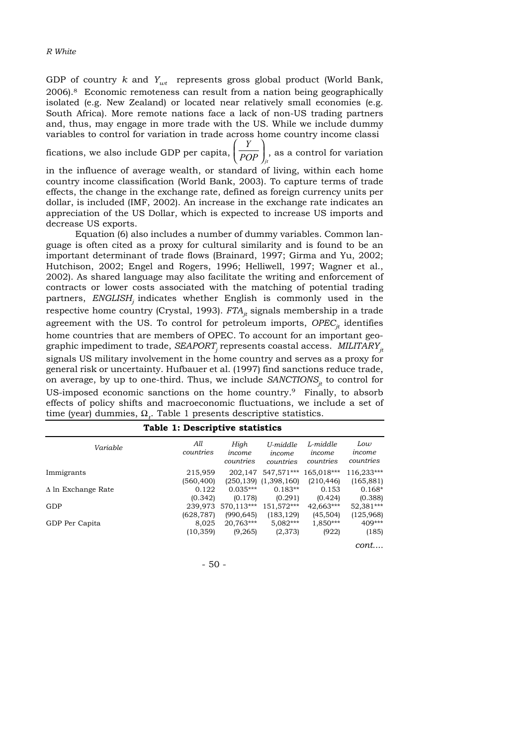*R White*

GDP of country  $k$  and  $Y_{wt}$  represents gross global product (World Bank, 2006).8 Economic remoteness can result from a nation being geographically isolated (e.g. New Zealand) or located near relatively small economies (e.g. South Africa). More remote nations face a lack of non-US trading partners and, thus, may engage in more trade with the US. While we include dummy variables to control for variation in trade across home country income classi

fications, we also include GDP per capita,  $\left(\overline{\mathit{POP}}_j\right)_{jt}$  as a control for variation *Y*  $\left(\frac{Y}{POP}\right)$ 

in the influence of average wealth, or standard of living, within each home country income classification (World Bank, 2003). To capture terms of trade effects, the change in the exchange rate, defined as foreign currency units per dollar, is included (IMF, 2002). An increase in the exchange rate indicates an appreciation of the US Dollar, which is expected to increase US imports and decrease US exports.

Equation (6) also includes a number of dummy variables. Common language is often cited as a proxy for cultural similarity and is found to be an important determinant of trade flows (Brainard, 1997; Girma and Yu, 2002; Hutchison, 2002; Engel and Rogers, 1996; Helliwell, 1997; Wagner et al., 2002). As shared language may also facilitate the writing and enforcement of contracts or lower costs associated with the matching of potential trading partners, *ENGLISH*, indicates whether English is commonly used in the respective home country (Crystal, 1993).  $FTA_{it}$  signals membership in a trade agreement with the US. To control for petroleum imports,  $OPEC_{it}$  identifies home countries that are members of OPEC. To account for an important geographic impediment to trade, *SEAPORT*, represents coastal access. *MILITARY*<sub>it</sub> signals US military involvement in the home country and serves as a proxy for general risk or uncertainty. Hufbauer et al. (1997) find sanctions reduce trade, on average, by up to one-third. Thus, we include *SANCTIONS<sub>it</sub>* to control for US-imposed economic sanctions on the home country.9 Finally, to absorb effects of policy shifts and macroeconomic fluctuations, we include a set of time (year) dummies, Ω<sub>t</sub>. Table 1 presents descriptive statistics.

| Variable                  | All<br>countries | High<br>income<br>countries | U-middle<br>income<br>countries | L-middle<br>income<br>countries | Low<br>income<br>countries |
|---------------------------|------------------|-----------------------------|---------------------------------|---------------------------------|----------------------------|
| Immigrants                | 215,959          | 202.147                     | 547,571***                      | 165,018***                      | 116,233***                 |
|                           | (560,400)        |                             | $(250, 139)$ $(1, 398, 160)$    | (210, 446)                      | (165, 881)                 |
| $\Delta$ ln Exchange Rate | 0.122            | $0.035***$                  | $0.183**$                       | 0.153                           | $0.168*$                   |
|                           | (0.342)          | (0.178)                     | (0.291)                         | (0.424)                         | (0.388)                    |
| GDP                       | 239,973          | 570,113***                  | 151,572***                      | 42,663***                       | 52,381***                  |
|                           | (628, 787)       | (990, 645)                  | (183, 129)                      | (45,504)                        | (125,968)                  |
| GDP Per Capita            | 8,025            | 20,763***                   | $5,082***$                      | 1,850***                        | $409***$                   |
|                           | (10, 359)        | (9,265)                     | (2,373)                         | (922)                           | (185)                      |
|                           |                  |                             |                                 |                                 |                            |

|  |  | Table 1: Descriptive statistics |  |
|--|--|---------------------------------|--|
|--|--|---------------------------------|--|

*cont....*

- 50 -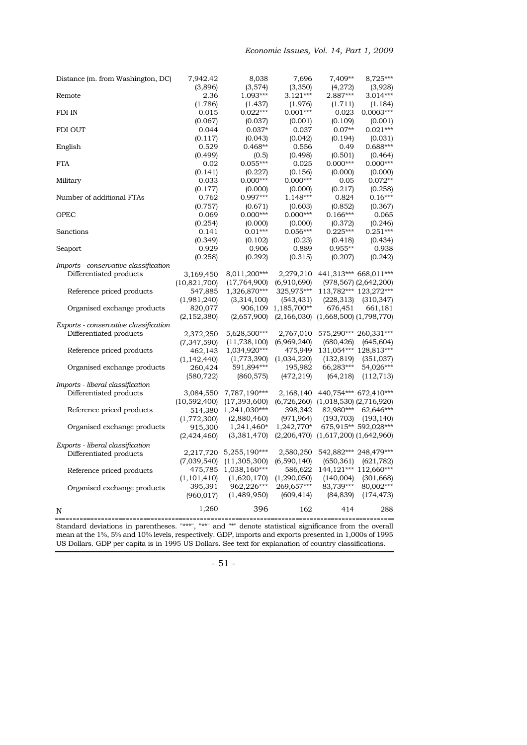| Distance (m. from Washington, DC)     | 7,942.42<br>(3,896)         | 8,038<br>(3,574)               | 7,696<br>(3,350)           | 7,409**<br>(4,272)                        | 8,725***<br>(3,928)                 |
|---------------------------------------|-----------------------------|--------------------------------|----------------------------|-------------------------------------------|-------------------------------------|
| Remote                                | 2.36<br>(1.786)             | 1.093***<br>(1.437)            | $3.121***$<br>(1.976)      | 2.887***<br>(1.711)                       | 3.014***<br>(1.184)                 |
| FDI IN                                | 0.015                       | $0.022***$                     | $0.001***$                 | 0.023                                     | $0.0003***$                         |
| <b>FDI OUT</b>                        | (0.067)<br>0.044            | (0.037)<br>$0.037*$            | (0.001)<br>0.037           | (0.109)<br>$0.07**$                       | (0.001)<br>$0.021***$               |
| English                               | (0.117)<br>0.529            | (0.043)<br>$0.468**$           | (0.042)<br>0.556           | (0.194)<br>0.49                           | (0.031)<br>$0.688***$               |
| <b>FTA</b>                            | (0.499)<br>0.02             | (0.5)<br>$0.055***$            | (0.498)<br>0.025           | (0.501)<br>$0.000***$                     | (0.464)<br>$0.000***$               |
| Military                              | (0.141)<br>0.033            | (0.227)<br>$0.000***$          | (0.156)<br>$0.000***$      | (0.000)<br>0.05                           | (0.000)<br>$0.072**$                |
| Number of additional FTAs             | (0.177)<br>0.762            | (0.000)<br>$0.997***$          | (0.000)<br>$1.148***$      | (0.217)<br>0.824                          | (0.258)<br>$0.16***$                |
| <b>OPEC</b>                           | (0.757)<br>0.069            | (0.671)<br>$0.000***$          | (0.603)<br>$0.000***$      | (0.852)<br>$0.166***$                     | (0.367)<br>0.065                    |
| Sanctions                             | (0.254)<br>0.141            | (0.000)<br>$0.01***$           | (0.000)<br>$0.056***$      | (0.372)<br>$0.225***$                     | (0.246)<br>$0.251***$               |
| Seaport                               | (0.349)<br>0.929<br>(0.258) | (0.102)<br>0.906<br>(0.292)    | (0.23)<br>0.889<br>(0.315) | (0.418)<br>$0.955**$<br>(0.207)           | (0.434)<br>0.938<br>(0.242)         |
| Imports - conservative classification |                             |                                |                            |                                           |                                     |
| Differentiated products               | 3,169,450<br>(10, 821, 700) | 8,011,200***<br>(17,764,900)   | 2,279,210<br>(6,910,690)   | 441,313*** 668,011***                     | $(978, 567)$ $(2, 642, 200)$        |
| Reference priced products             | 547,885<br>(1,981,240)      | 1,326,870***<br>(3,314,100)    | 325,975***<br>(543, 431)   | (228, 313)                                | 113,782*** 123,272***<br>(310, 347) |
| Organised exchange products           | 820,077<br>(2, 152, 380)    | 906,109<br>(2,657,900)         | 1,185,700**<br>(2,166,030) | 676,451<br>$(1,668,500)$ $(1,798,770)$    | 661,181                             |
| Exports - conservative classification |                             |                                |                            |                                           |                                     |
| Differentiated products               | 2,372,250<br>(7, 347, 590)  | 5,628,500***<br>(11, 738, 100) | 2,767,010<br>(6,969,240)   | 575,290*** 260,331***<br>(680, 426)       | (645, 604)                          |
| Reference priced products             | 462,143<br>(1, 142, 440)    | 1,034,920***<br>(1,773,390)    | 475,949<br>(1,034,220)     | (132, 819)                                | 131,054*** 128,813***<br>(351, 037) |
| Organised exchange products           | 260,424<br>(580, 722)       | 591,894***<br>(860, 575)       | 195,982<br>(472, 219)      | 66,283***<br>(64,218)                     | 54,026***<br>(112, 713)             |
| Imports - liberal classification      |                             |                                |                            |                                           |                                     |
| Differentiated products               | 3,084,550                   | 7,787,190***                   | 2,168,140                  | 440,754*** 672,410***                     |                                     |
|                                       | (10,592,400)                | (17, 393, 600)                 |                            | $(6,726,260)$ $(1,018,530)$ $(2,716,920)$ |                                     |
| Reference priced products             | 514,380                     | 1,241,030***                   | 398,342                    | 82,980***                                 | 62,646***                           |
|                                       | (1,772,300)                 | (2,880,460)                    | (971, 964)                 | (193, 703)                                | (193, 140)                          |
| Organised exchange products           | 915,300                     | 1,241,460*                     | 1,242,770*                 |                                           | 675,915** 592,028***                |
|                                       | (2,424,460)                 | (3,381,470)                    |                            | $(2,206,470)$ $(1,617,200)$ $(1,642,960)$ |                                     |
| Exports - liberal classification      |                             |                                |                            |                                           |                                     |
| Differentiated products               | 2,217,720<br>(7,039,540)    | 5,255,190***<br>(11,305,300)   | 2,580,250<br>(6,590,140)   | 542,882*** 248,479***<br>(650, 361)       | (621, 782)                          |
| Reference priced products             | 475,785<br>(1, 101, 410)    | 1,038,160***<br>(1,620,170)    | 586,622<br>(1,290,050)     | (140,004)                                 | 144,121*** 112,660***<br>(301, 668) |
| Organised exchange products           | 395,391<br>(960, 017)       | 962,226***<br>(1,489,950)      | 269,657***<br>(609, 414)   | 83,739***<br>(84, 839)                    | 80,002***<br>(174, 473)             |
| N                                     | 1,260                       | 396                            | 162                        | 414                                       | 288                                 |

Standard deviations in parentheses. "\*\*\*", "\*\*" and "\*" denote statistical significance from the overall mean at the 1%, 5% and 10% levels, respectively. GDP, imports and exports presented in 1,000s of 1995 US Dollars. GDP per capita is in 1995 US Dollars. See text for explanation of country classifications.

- 51 -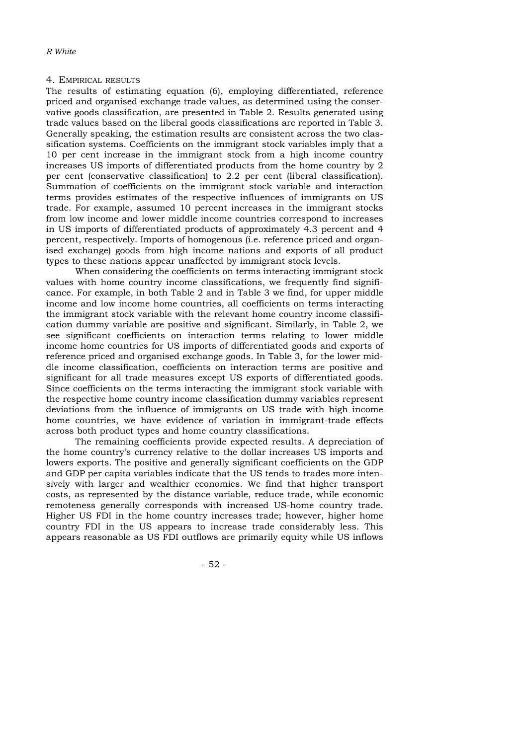#### 4. EMPIRICAL RESULTS

The results of estimating equation (6), employing differentiated, reference priced and organised exchange trade values, as determined using the conservative goods classification, are presented in Table 2. Results generated using trade values based on the liberal goods classifications are reported in Table 3. Generally speaking, the estimation results are consistent across the two classification systems. Coefficients on the immigrant stock variables imply that a 10 per cent increase in the immigrant stock from a high income country increases US imports of differentiated products from the home country by 2 per cent (conservative classification) to 2.2 per cent (liberal classification). Summation of coefficients on the immigrant stock variable and interaction terms provides estimates of the respective influences of immigrants on US trade. For example, assumed 10 percent increases in the immigrant stocks from low income and lower middle income countries correspond to increases in US imports of differentiated products of approximately 4.3 percent and 4 percent, respectively. Imports of homogenous (i.e. reference priced and organised exchange) goods from high income nations and exports of all product types to these nations appear unaffected by immigrant stock levels.

When considering the coefficients on terms interacting immigrant stock values with home country income classifications, we frequently find significance. For example, in both Table 2 and in Table 3 we find, for upper middle income and low income home countries, all coefficients on terms interacting the immigrant stock variable with the relevant home country income classification dummy variable are positive and significant. Similarly, in Table 2, we see significant coefficients on interaction terms relating to lower middle income home countries for US imports of differentiated goods and exports of reference priced and organised exchange goods. In Table 3, for the lower middle income classification, coefficients on interaction terms are positive and significant for all trade measures except US exports of differentiated goods. Since coefficients on the terms interacting the immigrant stock variable with the respective home country income classification dummy variables represent deviations from the influence of immigrants on US trade with high income home countries, we have evidence of variation in immigrant-trade effects across both product types and home country classifications.

The remaining coefficients provide expected results. A depreciation of the home country's currency relative to the dollar increases US imports and lowers exports. The positive and generally significant coefficients on the GDP and GDP per capita variables indicate that the US tends to trades more intensively with larger and wealthier economies. We find that higher transport costs, as represented by the distance variable, reduce trade, while economic remoteness generally corresponds with increased US-home country trade. Higher US FDI in the home country increases trade; however, higher home country FDI in the US appears to increase trade considerably less. This appears reasonable as US FDI outflows are primarily equity while US inflows

- 52 -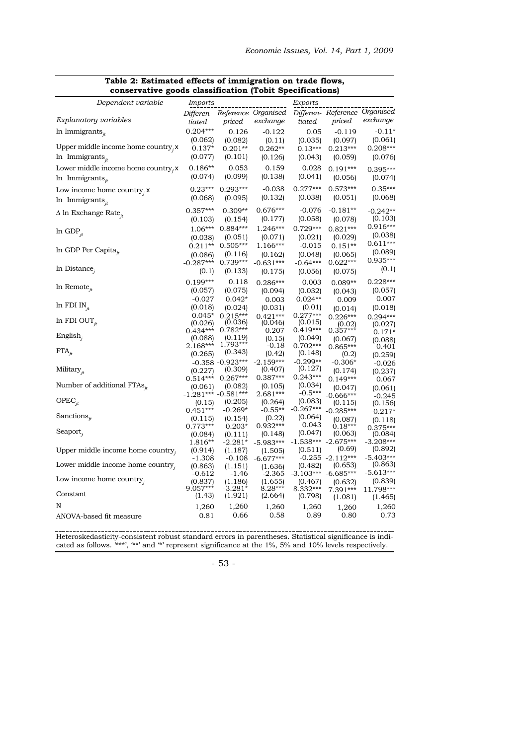| Dependent variable                      | Imports             |                         |                               | Exports               |                                   |                               |
|-----------------------------------------|---------------------|-------------------------|-------------------------------|-----------------------|-----------------------------------|-------------------------------|
|                                         |                     |                         | Differen- Reference Organised |                       |                                   | Differen- Reference Organised |
| Explanatory variables                   | tiated              | priced                  | exchange                      | tiated                | priced                            | exchange                      |
| In Immigrants $_{it}$                   | $0.204***$          | 0.126                   | $-0.122$                      | 0.05                  | $-0.119$                          | $-0.11*$                      |
|                                         | (0.062)             | (0.082)                 | (0.11)                        | (0.035)               | (0.097)                           | (0.061)                       |
| Upper middle income home country, x     | $0.137*$            | $0.201**$               | $0.262**$                     | $0.13***$             | $0.213***$                        | $0.208***$                    |
| $ln$ Immigrants $_{it}$                 | (0.077)             | (0.101)                 | (0.126)                       | (0.043)               | (0.059)                           | (0.076)                       |
| Lower middle income home country, $x$   | $0.186**$           | 0.053                   | 0.159                         | 0.028                 | $0.191***$                        | 0.395***                      |
| $ln$ Immigrants $_{it}$                 | (0.074)             | (0.099)                 | (0.138)                       | (0.041)               | (0.056)                           | (0.074)                       |
|                                         | $0.23***$           | $0.293***$              | $-0.038$                      | $0.277***$            | $0.573***$                        | $0.35***$                     |
| Low income home country, $x$            | (0.068)             | (0.095)                 | (0.132)                       | (0.038)               | (0.051)                           | (0.068)                       |
| In Immigrants $_{it}$                   |                     |                         |                               |                       |                                   |                               |
| $\Delta$ ln Exchange Rate <sub>it</sub> | $0.357***$          | $0.309**$               | $0.676***$                    | $-0.076$              | $-0.181**$                        | $-0.242**$                    |
|                                         | (0.103)             | (0.154)                 | (0.177)                       | (0.058)               | (0.078)                           | (0.103)                       |
| $ln$ GDP <sub><math>it</math></sub>     | $1.06***$           | $0.884***$              | 1.246***                      | $0.729***$            | $0.821***$                        | 0.916***                      |
|                                         | (0.038)             | (0.051)                 | (0.071)                       | (0.021)               | (0.029)                           | (0.038)                       |
| In GDP Per Capita $_{it}$               |                     | 0.211** 0.505***        | $1.166***$                    | $-0.015$              | $0.151**$                         | $0.611***$                    |
|                                         | (0.086)             | (0.116)                 | (0.162)                       | (0.048)               | (0.065)                           | (0.089)<br>$-0.935***$        |
| $ln$ Distance,                          |                     | $-0.287***$ $-0.739***$ | $-0.631***$                   |                       | $-0.64***$ $-0.622***$            | (0.1)                         |
|                                         | (0.1)               | (0.133)                 | (0.175)                       | (0.056)               | (0.075)                           |                               |
| In Remote $_{it}$                       | $0.199***$          | 0.118                   | $0.286***$                    | 0.003                 | $0.089**$                         | $0.228***$                    |
|                                         | (0.057)             | (0.075)                 | (0.094)                       | (0.032)               | (0.043)                           | (0.057)                       |
| ln FDI IN $_{it}$                       | $-0.027$            | $0.042*$                | 0.003                         | $0.024**$             | 0.009                             | 0.007                         |
|                                         | (0.018)             | (0.024)                 | (0.031)                       | (0.01)                | (0.014)                           | (0.018)                       |
| In FDI OUT <sub>it</sub>                | $0.045*$<br>(0.026) | $0.215***$<br>(0.036)   | $0.421***$<br>(0.046)         | $0.277***$<br>(0.015) | $0.226***$                        | $0.294***$                    |
|                                         | $0.434***$          | $0.782***$              | 0.207                         | $0.419***$            | $(0.02)$<br>0.357***              | (0.027)<br>$0.171*$           |
| English,                                | (0.088)             | (0.119)                 | (0.15)                        | (0.049)               | (0.067)                           | (0.088)                       |
|                                         | $2.168***$          | $1.793***$              | -0.18                         | $0.702***$            | $0.865***$                        | 0.401                         |
| $FTA_{it}$                              | (0.265)             | (0.343)                 | (0.42)                        | (0.148)               | (0.2)                             | (0.259)                       |
|                                         |                     | $-0.358 - 0.923***$     | $-2.159***$                   | $-0.299**$            | $-0.306*$                         | $-0.026$                      |
| Military $_{it}$                        | (0.227)             | (0.309)<br>$0.267***$   | (0.407)<br>$0.387***$         | (0.127)<br>$0.243***$ | (0.174)                           | (0.237)                       |
| Number of additional $FTAs_{it}$        | $0.514***$          | (0.082)                 | (0.105)                       | (0.034)               | $0.149***$                        | 0.067                         |
|                                         | (0.061)             | $-1.281***$ -0.581***   | $2.681***$                    | $-0.5***$             | (0.047)<br>$-0.666***$            | (0.061)<br>$-0.245$           |
| $OPEC_{it}$                             | (0.15)              | (0.205)                 | (0.264)                       | (0.083)               | (0.115)                           | (0.156)                       |
|                                         | $-0.451***$         | $-0.269*$               | $-0.55**$                     | $-0.267***$           | $-0.285***$                       | $-0.217*$                     |
| Sanctions $_{it}$                       | (0.115)             | (0.154)                 | (0.22)                        | (0.064)               | (0.087)                           | (0.118)                       |
|                                         | $0.773***$          | $0.203*$                | $0.932***$                    | 0.043                 | $0.18***$                         | $0.375***$                    |
| Seaport $_{i}$                          | (0.084)             | (0.111)                 | (0.148)                       | (0.047)               | (0.063)                           | (0.084)                       |
|                                         | 1.816**             | $-2.281*$               | $-5.983***$                   |                       | $-1.538***$ $-2.675***$<br>(0.69) | $-3.208***$<br>(0.892)        |
| Upper middle income home country,       | (0.914)<br>$-1.308$ | (1.187)<br>$-0.108$     | (1.505)<br>$-6.677***$        | (0.511)               | $-0.255 -2.112***$                | $-5.403***$                   |
| Lower middle income home country,       | (0.863)             | (1.151)                 | (1.636)                       | (0.482)               | (0.653)                           | (0.863)                       |
|                                         | -0.612              | $-1.46$                 | $-2.365$                      |                       | $-3.103***$ $-6.685***$           | $-5.613***$                   |
| Low income home country.                | (0.837)             | (1.186)                 | (1.655)                       | (0.467)               | (0.632)                           | (0.839)                       |
| Constant                                | $-9.057***$         | $-3.281*$               | $8.28***$                     | $8.332***$            | 7.391***                          | 11.798***                     |
|                                         | (1.43)              | (1.921)                 | (2.664)                       | (0.798)               | (1.081)                           | (1.465)                       |
| N                                       | 1,260               | 1,260                   | 1,260                         | 1,260                 | 1,260                             | 1,260                         |
| ANOVA-based fit measure                 | 0.81                | 0.66                    | 0.58                          | 0.89                  | 0.80                              | 0.73                          |

### **Table 2: Estimated effects of immigration on trade flows, conservative goods classification (Tobit Specifications)**

Heteroskedasticity-consistent robust standard errors in parentheses. Statistical significance is indicated as follows. '\*\*\*', '\*\*' and '\*' represent significance at the 1%, 5% and 10% levels respectively.

- 53 -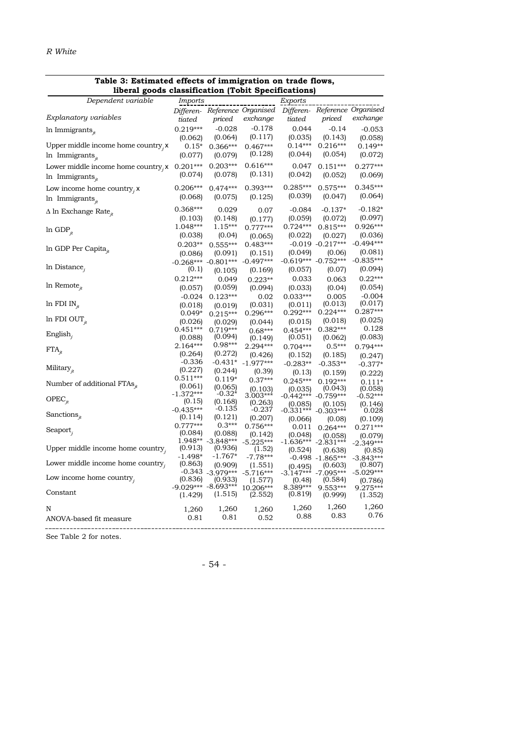| moral goods classification<br>(1001C)   |                       |                                  |                               |                    |                         |                               |  |
|-----------------------------------------|-----------------------|----------------------------------|-------------------------------|--------------------|-------------------------|-------------------------------|--|
| Dependent variable                      | Imports               |                                  |                               | Exports            |                         |                               |  |
|                                         |                       |                                  | Differen- Reference Organised |                    |                         | Differen- Reference Organised |  |
| Explanatory variables                   | tiated                | priced                           | exchange                      | tiated             | priced                  | exchange                      |  |
| In Immigrants,                          | $0.219***$            | $-0.028$                         | $-0.178$                      | 0.044              | $-0.14$                 | $-0.053$                      |  |
|                                         | (0.062)               | (0.064)                          | (0.117)                       | (0.035)            | (0.143)                 | (0.058)                       |  |
| Upper middle income home country, x     | $0.15*$               | $0.366***$                       | $0.467***$                    | $0.14***$          | $0.216***$              | $0.149**$                     |  |
| In Immigrants $_{it}$                   | (0.077)               | (0.079)                          | (0.128)                       | (0.044)            | (0.054)                 | (0.072)                       |  |
| Lower middle income home country, $x$   | $0.201***$            | $0.203***$                       | $0.616***$                    | 0.047              | $0.151***$              | $0.277***$                    |  |
| In Immigrants $_{it}$                   | (0.074)               | (0.078)                          | (0.131)                       | (0.042)            | (0.052)                 | (0.069)                       |  |
|                                         |                       |                                  |                               |                    |                         |                               |  |
| Low income home country, $x$            | $0.206***$            | $0.474***$                       | $0.393***$                    | $0.285***$         | $0.575***$              | $0.345***$                    |  |
| In Immigrants $_{it}$                   | (0.068)               | (0.075)                          | (0.125)                       | (0.039)            | (0.047)                 | (0.064)                       |  |
| $\Delta$ ln Exchange Rate <sub>it</sub> | $0.368***$            | 0.029                            | 0.07                          | $-0.084$           | $-0.137*$               | $-0.182*$                     |  |
|                                         | (0.103)               | (0.148)                          | (0.177)                       | (0.059)            | (0.072)                 | (0.097)                       |  |
|                                         | 1.048***              | $1.15***$                        | $0.777***$                    | $0.724***$         | $0.815***$              | $0.926***$                    |  |
| $ln$ GDP <sub>it</sub>                  | (0.038)               | (0.04)                           | (0.065)                       | (0.022)            | (0.027)                 | (0.036)                       |  |
|                                         | $0.203**$             | $0.555***$                       | $0.483***$                    |                    | $-0.019 - 0.217***$     | $-0.494***$                   |  |
| In GDP Per Capita $_{it}$               | (0.086)               | (0.091)                          | (0.151)                       | (0.049)            | (0.06)                  | (0.081)                       |  |
|                                         |                       | $-0.268*** -0.801***$            | $-0.497***$                   |                    | $-0.619***$ $-0.752***$ | $-0.835***$                   |  |
| $ln$ Distance,                          | (0.1)                 | (0.105)                          | (0.169)                       | (0.057)            | (0.07)                  | (0.094)                       |  |
|                                         | $0.212***$            | 0.049                            | $0.223**$                     | 0.033              | 0.063                   | $0.22***$                     |  |
| In Remote $_{it}$                       | (0.057)               | (0.059)                          | (0.094)                       | (0.033)            | (0.04)                  | (0.054)                       |  |
|                                         | $-0.024$              | $0.123***$                       | 0.02                          | $0.033***$         | 0.005                   | $-0.004$                      |  |
| ln FDI IN $_{it}$                       | (0.018)               | (0.019)                          | (0.031)                       | (0.011)            | (0.013)                 | (0.017)                       |  |
|                                         | $0.049*$              | $0.215***$                       | $0.296***$                    | $0.292***$         | $0.224***$              | $0.287***$                    |  |
| In FDI OUT $_{it}$                      | (0.026)               | (0.029)                          | (0.044)                       | (0.015)            | (0.018)                 | (0.025)                       |  |
|                                         | $0.451***$            | $0.719***$                       | $0.68***$                     | $0.454***$         | $0.382***$              | 0.128                         |  |
| English,                                | (0.088)               | (0.094)                          | (0.149)                       | (0.051)            | (0.062)                 | (0.083)                       |  |
|                                         | 2.164***              | $0.98***$                        | 2.294***                      | $0.704***$         | $0.5***$                | $0.794***$                    |  |
| $\text{FTA}_{\dot{H}}$                  | (0.264)               | (0.272)                          | (0.426)                       | (0.152)            | (0.185)                 | (0.247)                       |  |
|                                         | $-0.336$              | $-0.431*$                        | $-1.977***$                   | $-0.283**$         | $-0.353**$              | $-0.377*$                     |  |
| Military $_{it}$                        | (0.227)               | (0.244)                          | (0.39)                        | (0.13)             | (0.159)                 | (0.222)                       |  |
| Number of additional FTAs <sub>it</sub> | $0.511***$            | $0.119*$                         | $0.37***$                     | $0.245***$         | $0.192***$              | $0.111*$                      |  |
|                                         | (0.061)               | (0.065)                          | (0.103)                       | (0.035)            | (0.043)                 | (0.058)                       |  |
| $OPEC_{jt}$                             | $-1.372***$           | $-0.32*$                         | $3.003***$                    | $-0.442***$        | $-0.759***$             | $-0.52***$                    |  |
|                                         | (0.15)<br>$-0.435***$ | (0.168)<br>-0.135                | (0.263)<br>-0.237             | (0.085)            | (0.105)                 | (0.146)                       |  |
| Sanctions $_{it}$                       | (0.114)               | (0.121)                          | (0.207)                       | $-0.331***$        | $-0.303***$             | 0.028                         |  |
|                                         | $0.777***$            | $0.3***$                         | $0.756***$                    | (0.066)            | (0.08)                  | (0.109)<br>$0.271***$         |  |
| Seaport,                                | (0.084)               | (0.088)                          | (0.142)                       | 0.011<br>(0.048)   | $0.264***$              |                               |  |
|                                         |                       | 1.948** -3.848***                | $-5.225***$                   | $-1.636***$        | (0.058)<br>$-2.831***$  | (0.079)<br>$-2.349***$        |  |
| Upper middle income home country.       | (0.913)               | (0.936)                          | (1.52)                        | (0.524)            | (0.638)                 | (0.85)                        |  |
|                                         | $-1.498*$             | $-1.767*$                        | $-7.78***$                    |                    | $-0.498 - 1.865***$     | $-3.843***$                   |  |
| Lower middle income home country,       | (0.863)               | (0.909)                          | (1.551)                       | (0.495)            | (0.603)                 | (0.807)                       |  |
| Low income home country,                | $-0.343$              | $-3.979***$                      | $-5.716***$                   | $-3.147***$        | $-7.095***$             | $-5.029***$                   |  |
|                                         | (0.836)               | (0.933)<br>$-9.029*** -8.693***$ | (1.577)                       | (0.48)<br>8.389*** | (0.584)<br>9.553***     | (0.786)<br>$9.275***$         |  |
| Constant                                | (1.429)               | (1.515)                          | $10.206***$<br>(2.552)        | (0.819)            | (0.999)                 | (1.352)                       |  |
|                                         |                       |                                  |                               |                    |                         |                               |  |
| N                                       | 1,260                 | 1,260                            | 1,260                         | 1,260              | 1,260                   | 1,260                         |  |
| ANOVA-based fit measure                 | 0.81                  | 0.81                             | 0.52                          | 0.88               | 0.83                    | 0.76                          |  |
|                                         |                       |                                  |                               |                    |                         |                               |  |

#### **Table 3: Estimated effects of immigration on trade flows, liberal goods classification (Tobit Specifications)**

See Table 2 for notes.

- 54 -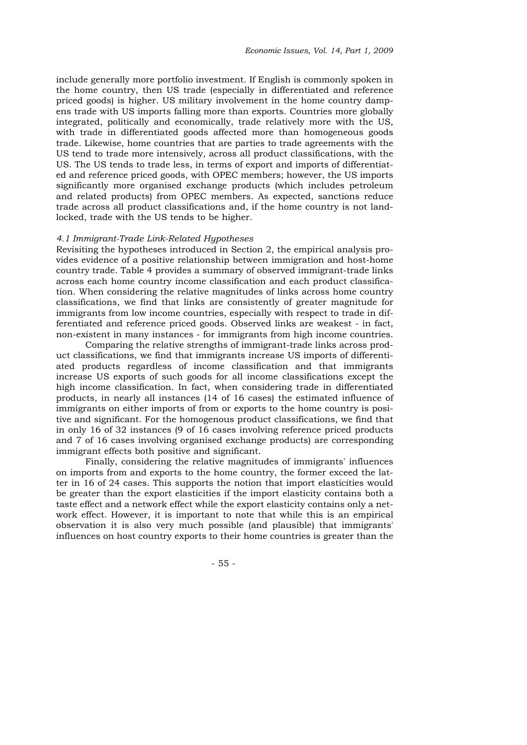include generally more portfolio investment. If English is commonly spoken in the home country, then US trade (especially in differentiated and reference priced goods) is higher. US military involvement in the home country dampens trade with US imports falling more than exports. Countries more globally integrated, politically and economically, trade relatively more with the US, with trade in differentiated goods affected more than homogeneous goods trade. Likewise, home countries that are parties to trade agreements with the US tend to trade more intensively, across all product classifications, with the US. The US tends to trade less, in terms of export and imports of differentiated and reference priced goods, with OPEC members; however, the US imports significantly more organised exchange products (which includes petroleum and related products) from OPEC members. As expected, sanctions reduce trade across all product classifications and, if the home country is not landlocked, trade with the US tends to be higher.

#### *4.1 Immigrant-Trade Link-Related Hypotheses*

Revisiting the hypotheses introduced in Section 2, the empirical analysis provides evidence of a positive relationship between immigration and host-home country trade. Table 4 provides a summary of observed immigrant-trade links across each home country income classification and each product classification. When considering the relative magnitudes of links across home country classifications, we find that links are consistently of greater magnitude for immigrants from low income countries, especially with respect to trade in differentiated and reference priced goods. Observed links are weakest - in fact, non-existent in many instances - for immigrants from high income countries.

Comparing the relative strengths of immigrant-trade links across product classifications, we find that immigrants increase US imports of differentiated products regardless of income classification and that immigrants increase US exports of such goods for all income classifications except the high income classification. In fact, when considering trade in differentiated products, in nearly all instances (14 of 16 cases) the estimated influence of immigrants on either imports of from or exports to the home country is positive and significant. For the homogenous product classifications, we find that in only 16 of 32 instances (9 of 16 cases involving reference priced products and 7 of 16 cases involving organised exchange products) are corresponding immigrant effects both positive and significant.

Finally, considering the relative magnitudes of immigrants' influences on imports from and exports to the home country, the former exceed the latter in 16 of 24 cases. This supports the notion that import elasticities would be greater than the export elasticities if the import elasticity contains both a taste effect and a network effect while the export elasticity contains only a network effect. However, it is important to note that while this is an empirical observation it is also very much possible (and plausible) that immigrants' influences on host country exports to their home countries is greater than the

- 55 -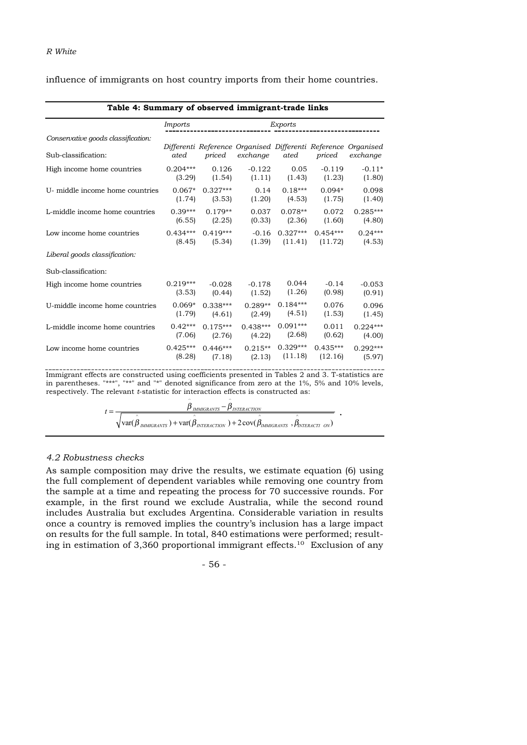influence of immigrants on host country imports from their home countries.

| Table 4: Summary of observed immigrant-trade links |                |            |                                                               |            |            |            |  |
|----------------------------------------------------|----------------|------------|---------------------------------------------------------------|------------|------------|------------|--|
|                                                    | <i>Imports</i> | Exports    |                                                               |            |            |            |  |
| Conservative goods classification:                 |                |            | Differenti Reference Organised Differenti Reference Organised |            |            |            |  |
| Sub-classification:                                | ated           | priced     | exchange                                                      | ated       | priced     | exchange   |  |
| High income home countries                         | $0.204***$     | 0.126      | $-0.122$                                                      | 0.05       | $-0.119$   | $-0.11*$   |  |
|                                                    | (3.29)         | (1.54)     | (1.11)                                                        | (1.43)     | (1.23)     | (1.80)     |  |
| U- middle income home countries                    | $0.067*$       | $0.327***$ | 0.14                                                          | $0.18***$  | $0.094*$   | 0.098      |  |
|                                                    | (1.74)         | (3.53)     | (1.20)                                                        | (4.53)     | (1.75)     | (1.40)     |  |
| L-middle income home countries                     | $0.39***$      | $0.179**$  | 0.037                                                         | $0.078**$  | 0.072      | $0.285***$ |  |
|                                                    | (6.55)         | (2.25)     | (0.33)                                                        | (2.36)     | (1.60)     | (4.80)     |  |
| Low income home countries                          | $0.434***$     | $0.419***$ | $-0.16$                                                       | $0.327***$ | $0.454***$ | $0.24***$  |  |
|                                                    | (8.45)         | (5.34)     | (1.39)                                                        | (11.41)    | (11.72)    | (4.53)     |  |
| Liberal goods classification:                      |                |            |                                                               |            |            |            |  |
| Sub-classification:                                |                |            |                                                               |            |            |            |  |
| High income home countries                         | $0.219***$     | $-0.028$   | $-0.178$                                                      | 0.044      | $-0.14$    | $-0.053$   |  |
|                                                    | (3.53)         | (0.44)     | (1.52)                                                        | (1.26)     | (0.98)     | (0.91)     |  |
| U-middle income home countries                     | $0.069*$       | $0.338***$ | $0.289**$                                                     | $0.184***$ | 0.076      | 0.096      |  |
|                                                    | (1.79)         | (4.61)     | (2.49)                                                        | (4.51)     | (1.53)     | (1.45)     |  |
| L-middle income home countries                     | $0.42***$      | $0.175***$ | $0.438***$                                                    | $0.091***$ | 0.011      | $0.224***$ |  |
|                                                    | (7.06)         | (2.76)     | (4.22)                                                        | (2.68)     | (0.62)     | (4.00)     |  |
| Low income home countries                          | $0.425***$     | $0.446***$ | $0.215**$                                                     | $0.329***$ | $0.435***$ | $0.292***$ |  |
|                                                    | (8.28)         | (7.18)     | (2.13)                                                        | (11.18)    | (12.16)    | (5.97)     |  |

Immigrant effects are constructed using coefficients presented in Tables 2 and 3. T-statistics are in parentheses. "\*\*\*", "\*\*" and "\*" denoted significance from zero at the 1%, 5% and 10% levels,

respectively. The relevant *t*-statistic for interaction effects is constructed as:  $\sim$   $\sim$   $\sim$  $t = \frac{\beta_{IMMIGRANTS} - \beta_{INTERACTION}}{f_{IMMIGRANTS}}$ 

 $\hat{\text{var}}(\hat{\hat{\beta}}_{\text{IMMGRANTS}}) + \text{var}(\hat{\hat{\beta}}_{\text{INTERCTION}}) + 2\text{cov}(\hat{\hat{\beta}}_{\text{IMMGRANTS}} , \hat{\hat{\beta}}_{\text{INTERACTI ON}})$ 

.

### *4.2 Robustness checks*

As sample composition may drive the results, we estimate equation (6) using the full complement of dependent variables while removing one country from the sample at a time and repeating the process for 70 successive rounds. For example, in the first round we exclude Australia, while the second round includes Australia but excludes Argentina. Considerable variation in results once a country is removed implies the country's inclusion has a large impact on results for the full sample. In total, 840 estimations were performed; resulting in estimation of 3,360 proportional immigrant effects.10 Exclusion of any

- 56 -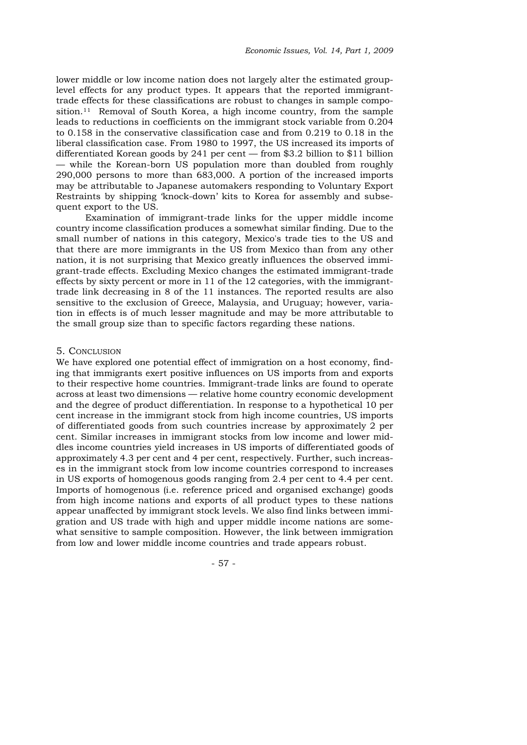lower middle or low income nation does not largely alter the estimated grouplevel effects for any product types. It appears that the reported immigranttrade effects for these classifications are robust to changes in sample composition.<sup>11</sup> Removal of South Korea, a high income country, from the sample leads to reductions in coefficients on the immigrant stock variable from 0.204 to 0.158 in the conservative classification case and from 0.219 to 0.18 in the liberal classification case. From 1980 to 1997, the US increased its imports of differentiated Korean goods by 241 per cent — from \$3.2 billion to \$11 billion while the Korean-born US population more than doubled from roughly 290,000 persons to more than 683,000. A portion of the increased imports may be attributable to Japanese automakers responding to Voluntary Export Restraints by shipping 'knock-down' kits to Korea for assembly and subsequent export to the US.

Examination of immigrant-trade links for the upper middle income country income classification produces a somewhat similar finding. Due to the small number of nations in this category, Mexico's trade ties to the US and that there are more immigrants in the US from Mexico than from any other nation, it is not surprising that Mexico greatly influences the observed immigrant-trade effects. Excluding Mexico changes the estimated immigrant-trade effects by sixty percent or more in 11 of the 12 categories, with the immigranttrade link decreasing in 8 of the 11 instances. The reported results are also sensitive to the exclusion of Greece, Malaysia, and Uruguay; however, variation in effects is of much lesser magnitude and may be more attributable to the small group size than to specific factors regarding these nations.

#### 5. CONCLUSION

We have explored one potential effect of immigration on a host economy, finding that immigrants exert positive influences on US imports from and exports to their respective home countries. Immigrant-trade links are found to operate across at least two dimensions — relative home country economic development and the degree of product differentiation. In response to a hypothetical 10 per cent increase in the immigrant stock from high income countries, US imports of differentiated goods from such countries increase by approximately 2 per cent. Similar increases in immigrant stocks from low income and lower middles income countries yield increases in US imports of differentiated goods of approximately 4.3 per cent and 4 per cent, respectively. Further, such increases in the immigrant stock from low income countries correspond to increases in US exports of homogenous goods ranging from 2.4 per cent to 4.4 per cent. Imports of homogenous (i.e. reference priced and organised exchange) goods from high income nations and exports of all product types to these nations appear unaffected by immigrant stock levels. We also find links between immigration and US trade with high and upper middle income nations are somewhat sensitive to sample composition. However, the link between immigration from low and lower middle income countries and trade appears robust.

- 57 -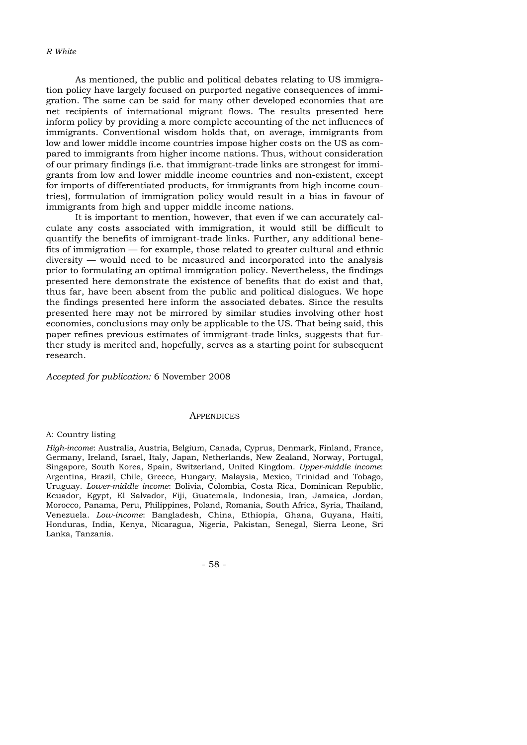#### *R White*

As mentioned, the public and political debates relating to US immigration policy have largely focused on purported negative consequences of immigration. The same can be said for many other developed economies that are net recipients of international migrant flows. The results presented here inform policy by providing a more complete accounting of the net influences of immigrants. Conventional wisdom holds that, on average, immigrants from low and lower middle income countries impose higher costs on the US as compared to immigrants from higher income nations. Thus, without consideration of our primary findings (i.e. that immigrant-trade links are strongest for immigrants from low and lower middle income countries and non-existent, except for imports of differentiated products, for immigrants from high income countries), formulation of immigration policy would result in a bias in favour of immigrants from high and upper middle income nations.

It is important to mention, however, that even if we can accurately calculate any costs associated with immigration, it would still be difficult to quantify the benefits of immigrant-trade links. Further, any additional benefits of immigration — for example, those related to greater cultural and ethnic diversity — would need to be measured and incorporated into the analysis prior to formulating an optimal immigration policy. Nevertheless, the findings presented here demonstrate the existence of benefits that do exist and that, thus far, have been absent from the public and political dialogues. We hope the findings presented here inform the associated debates. Since the results presented here may not be mirrored by similar studies involving other host economies, conclusions may only be applicable to the US. That being said, this paper refines previous estimates of immigrant-trade links, suggests that further study is merited and, hopefully, serves as a starting point for subsequent research.

*Accepted for publication:* 6 November 2008

#### **APPENDICES**

#### A: Country listing

*High-income*: Australia, Austria, Belgium, Canada, Cyprus, Denmark, Finland, France, Germany, Ireland, Israel, Italy, Japan, Netherlands, New Zealand, Norway, Portugal, Singapore, South Korea, Spain, Switzerland, United Kingdom. *Upper-middle income*: Argentina, Brazil, Chile, Greece, Hungary, Malaysia, Mexico, Trinidad and Tobago, Uruguay. *Lower-middle income*: Bolivia, Colombia, Costa Rica, Dominican Republic, Ecuador, Egypt, El Salvador, Fiji, Guatemala, Indonesia, Iran, Jamaica, Jordan, Morocco, Panama, Peru, Philippines, Poland, Romania, South Africa, Syria, Thailand, Venezuela. *Low-income*: Bangladesh, China, Ethiopia, Ghana, Guyana, Haiti, Honduras, India, Kenya, Nicaragua, Nigeria, Pakistan, Senegal, Sierra Leone, Sri Lanka, Tanzania.

- 58 -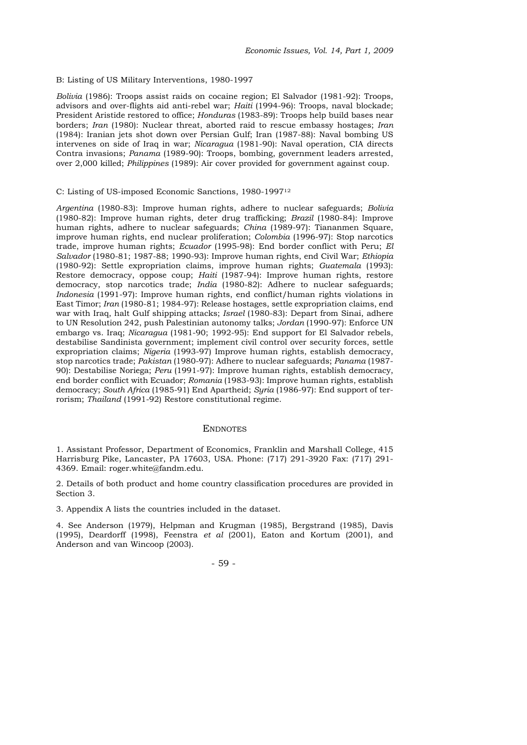B: Listing of US Military Interventions, 1980-1997

*Bolivia* (1986): Troops assist raids on cocaine region; El Salvador (1981-92): Troops, advisors and over-flights aid anti-rebel war; *Haiti* (1994-96): Troops, naval blockade; President Aristide restored to office; *Honduras* (1983-89): Troops help build bases near borders; *Iran* (1980): Nuclear threat, aborted raid to rescue embassy hostages; *Iran* (1984): Iranian jets shot down over Persian Gulf; Iran (1987-88): Naval bombing US intervenes on side of Iraq in war; *Nicaragua* (1981-90): Naval operation, CIA directs Contra invasions; *Panama* (1989-90): Troops, bombing, government leaders arrested, over 2,000 killed; *Philippines* (1989): Air cover provided for government against coup.

#### C: Listing of US-imposed Economic Sanctions, 1980-199712

*Argentina* (1980-83): Improve human rights, adhere to nuclear safeguards; *Bolivia* (1980-82): Improve human rights, deter drug trafficking; *Brazil* (1980-84): Improve human rights, adhere to nuclear safeguards; *China* (1989-97): Tiananmen Square, improve human rights, end nuclear proliferation; *Colombia* (1996-97): Stop narcotics trade, improve human rights; *Ecuador* (1995-98): End border conflict with Peru; *El Salvador* (1980-81; 1987-88; 1990-93): Improve human rights, end Civil War; *Ethiopia* (1980-92): Settle expropriation claims, improve human rights; *Guatemala* (1993): Restore democracy, oppose coup; *Haiti* (1987-94): Improve human rights, restore democracy, stop narcotics trade; *India* (1980-82): Adhere to nuclear safeguards; *Indonesia* (1991-97): Improve human rights, end conflict/human rights violations in East Timor; *Iran* (1980-81; 1984-97): Release hostages, settle expropriation claims, end war with Iraq, halt Gulf shipping attacks; *Israel* (1980-83): Depart from Sinai, adhere to UN Resolution 242, push Palestinian autonomy talks; *Jordan* (1990-97): Enforce UN embargo vs. Iraq; *Nicaragua* (1981-90; 1992-95): End support for El Salvador rebels, destabilise Sandinista government; implement civil control over security forces, settle expropriation claims; *Nigeria* (1993-97) Improve human rights, establish democracy, stop narcotics trade; *Pakistan* (1980-97): Adhere to nuclear safeguards; *Panama* (1987- 90): Destabilise Noriega; *Peru* (1991-97): Improve human rights, establish democracy, end border conflict with Ecuador; *Romania* (1983-93): Improve human rights, establish democracy; *South Africa* (1985-91) End Apartheid; *Syria* (1986-97): End support of terrorism; *Thailand* (1991-92) Restore constitutional regime.

#### **ENDNOTES**

1. Assistant Professor, Department of Economics, Franklin and Marshall College, 415 Harrisburg Pike, Lancaster, PA 17603, USA. Phone: (717) 291-3920 Fax: (717) 291- 4369. Email: roger.white@fandm.edu.

2. Details of both product and home country classification procedures are provided in Section 3.

3. Appendix A lists the countries included in the dataset.

4. See Anderson (1979), Helpman and Krugman (1985), Bergstrand (1985), Davis (1995), Deardorff (1998), Feenstra *et al* (2001), Eaton and Kortum (2001), and Anderson and van Wincoop (2003).

#### - 59 -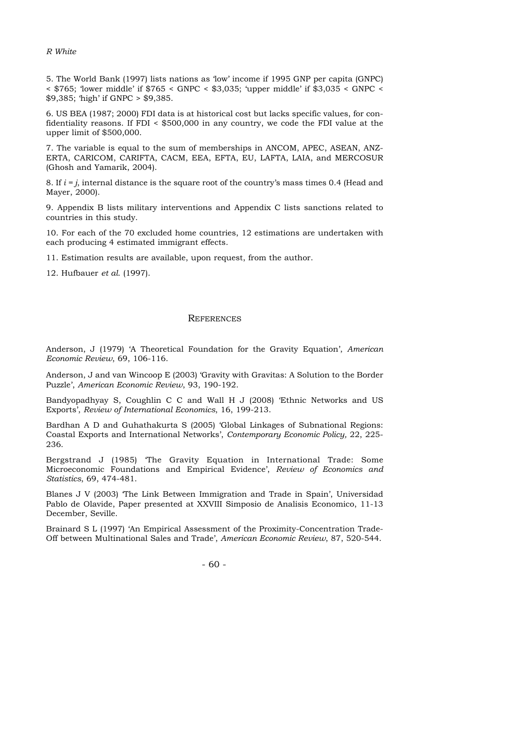*R White*

5. The World Bank (1997) lists nations as 'low' income if 1995 GNP per capita (GNPC) < \$765; 'lower middle' if \$765 < GNPC < \$3,035; 'upper middle' if \$3,035 < GNPC < \$9,385; 'high' if GNPC > \$9,385.

6. US BEA (1987; 2000) FDI data is at historical cost but lacks specific values, for confidentiality reasons. If FDI < \$500,000 in any country, we code the FDI value at the upper limit of \$500,000.

7. The variable is equal to the sum of memberships in ANCOM, APEC, ASEAN, ANZ-ERTA, CARICOM, CARIFTA, CACM, EEA, EFTA, EU, LAFTA, LAIA, and MERCOSUR (Ghosh and Yamarik, 2004).

8. If *i = j*, internal distance is the square root of the country's mass times 0.4 (Head and Mayer, 2000).

9. Appendix B lists military interventions and Appendix C lists sanctions related to countries in this study.

10. For each of the 70 excluded home countries, 12 estimations are undertaken with each producing 4 estimated immigrant effects.

11. Estimation results are available, upon request, from the author.

12. Hufbauer *et al*. (1997).

#### **REFERENCES**

Anderson, J (1979) 'A Theoretical Foundation for the Gravity Equation', *American Economic Review*, 69, 106-116.

Anderson, J and van Wincoop E (2003) 'Gravity with Gravitas: A Solution to the Border Puzzle', *American Economic Review*, 93, 190-192.

Bandyopadhyay S, Coughlin C C and Wall H J (2008) 'Ethnic Networks and US Exports', *Review of International Economics*, 16, 199-213.

Bardhan A D and Guhathakurta S (2005) 'Global Linkages of Subnational Regions: Coastal Exports and International Networks', *Contemporary Economic Policy,* 22, 225- 236.

Bergstrand J (1985) 'The Gravity Equation in International Trade: Some Microeconomic Foundations and Empirical Evidence', *Review of Economics and Statistics*, 69, 474-481.

Blanes J V (2003) 'The Link Between Immigration and Trade in Spain', Universidad Pablo de Olavide, Paper presented at XXVIII Simposio de Analisis Economico, 11-13 December, Seville.

Brainard S L (1997) 'An Empirical Assessment of the Proximity-Concentration Trade-Off between Multinational Sales and Trade', *American Economic Review*, 87, 520-544.

- 60 -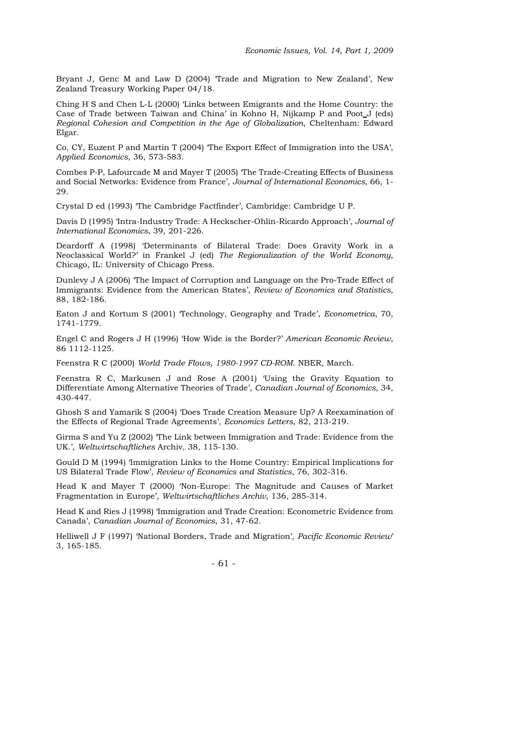Bryant J, Genc M and Law D (2004) 'Trade and Migration to New Zealand', New Zealand Treasury Working Paper 04/18.

Ching H S and Chen L-L (2000) 'Links between Emigrants and the Home Country: the Case of Trade between Taiwan and China' in Kohno H, Nijkamp P and Poot J (eds) *Regional Cohesion and Competition in the Age of Globalization*, Cheltenham: Edward Elgar.

Co, CY, Euzent P and Martin T (2004) 'The Export Effect of Immigration into the USA', *Applied Economics*, 36, 573-583.

Combes P-P, Lafourcade M and Mayer T (2005) 'The Trade-Creating Effects of Business and Social Networks: Evidence from France', *Journal of International Economics*, 66, 1- 29.

Crystal D ed (1993) 'The Cambridge Factfinder', Cambridge: Cambridge U P.

Davis D (1995) 'Intra-Industry Trade: A Heckscher-Ohlin-Ricardo Approach', *Journal of International Economics*, 39, 201-226.

Deardorff A (1998) 'Determinants of Bilateral Trade: Does Gravity Work in a Neoclassical World?' in Frankel J (ed) *The Regionalization of the World Economy*, Chicago, IL: University of Chicago Press.

Dunlevy J A (2006) 'The Impact of Corruption and Language on the Pro-Trade Effect of Immigrants: Evidence from the American States', *Review of Economics and Statistics*, 88, 182-186.

Eaton J and Kortum S (2001) 'Technology, Geography and Trade', *Econometrica*, 70, 1741-1779.

Engel C and Rogers J H (1996) 'How Wide is the Border?' *American Economic Review*, 86 1112-1125.

Feenstra R C (2000) *World Trade Flows, 1980-1997 CD-ROM*. NBER, March.

Feenstra R C, Markusen J and Rose A (2001) 'Using the Gravity Equation to Differentiate Among Alternative Theories of Trade', *Canadian Journal of Economics*, 34, 430-447.

Ghosh S and Yamarik S (2004) 'Does Trade Creation Measure Up? A Reexamination of the Effects of Regional Trade Agreements', *Economics Letters*, 82, 213-219.

Girma S and Yu Z (2002) 'The Link between Immigration and Trade: Evidence from the UK.', *Weltwirtschaftliches* Archiv, 38, 115-130.

Gould D M (1994) 'Immigration Links to the Home Country: Empirical Implications for US Bilateral Trade Flow', *Review of Economics and Statistics*, 76, 302-316.

Head K and Mayer T (2000) 'Non-Europe: The Magnitude and Causes of Market Fragmentation in Europe', *Weltwirtschaftliches Archiv*, 136, 285-314.

Head K and Ries J (1998) 'Immigration and Trade Creation: Econometric Evidence from Canada', *Canadian Journal of Economics*, 31, 47-62.

Helliwell J F (1997) 'National Borders, Trade and Migration', *Pacific Economic Review*' 3, 165-185.

- 61 -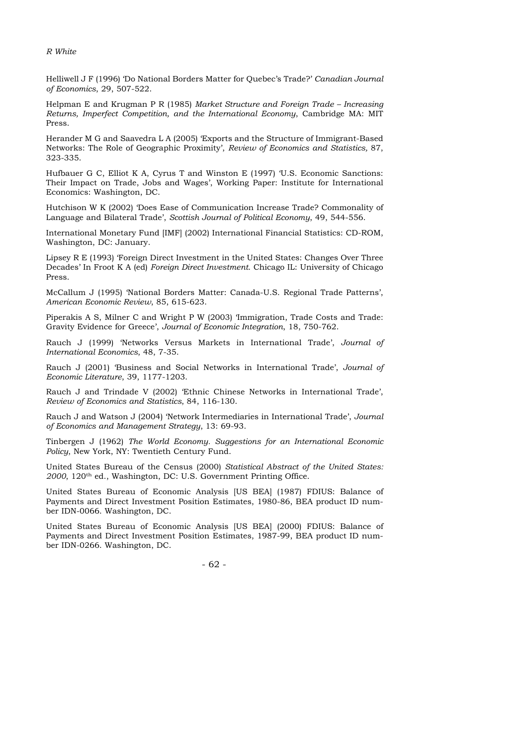Helliwell J F (1996) 'Do National Borders Matter for Quebec's Trade?' *Canadian Journal of Economics*, 29, 507-522.

Helpman E and Krugman P R (1985) *Market Structure and Foreign Trade – Increasing Returns, Imperfect Competition, and the International Economy*, Cambridge MA: MIT Press.

Herander M G and Saavedra L A (2005) 'Exports and the Structure of Immigrant-Based Networks: The Role of Geographic Proximity', *Review of Economics and Statistics,* 87, 323-335.

Hufbauer G C, Elliot K A, Cyrus T and Winston E (1997) 'U.S. Economic Sanctions: Their Impact on Trade, Jobs and Wages', Working Paper: Institute for International Economics: Washington, DC.

Hutchison W K (2002) 'Does Ease of Communication Increase Trade? Commonality of Language and Bilateral Trade', *Scottish Journal of Political Economy*, 49, 544-556.

International Monetary Fund [IMF] (2002) International Financial Statistics: CD-ROM, Washington, DC: January.

Lipsey R E (1993) 'Foreign Direct Investment in the United States: Changes Over Three Decades' In Froot K A (ed) *Foreign Direct Investment*. Chicago IL: University of Chicago Press.

McCallum J (1995) 'National Borders Matter: Canada-U.S. Regional Trade Patterns', *American Economic Review*, 85, 615-623.

Piperakis A S, Milner C and Wright P W (2003) 'Immigration, Trade Costs and Trade: Gravity Evidence for Greece', *Journal of Economic Integration*, 18, 750-762.

Rauch J (1999) 'Networks Versus Markets in International Trade', *Journal of International Economics*, 48, 7-35.

Rauch J (2001) 'Business and Social Networks in International Trade', *Journal of Economic Literature*, 39, 1177-1203.

Rauch J and Trindade V (2002) 'Ethnic Chinese Networks in International Trade', *Review of Economics and Statistics*, 84, 116-130.

Rauch J and Watson J (2004) 'Network Intermediaries in International Trade', *Journal of Economics and Management Strategy*, 13: 69-93.

Tinbergen J (1962) *The World Economy. Suggestions for an International Economic Policy*, New York, NY: Twentieth Century Fund.

United States Bureau of the Census (2000) *Statistical Abstract of the United States: 2000*, 120th ed., Washington, DC: U.S. Government Printing Office.

United States Bureau of Economic Analysis [US BEA] (1987) FDIUS: Balance of Payments and Direct Investment Position Estimates, 1980-86, BEA product ID number IDN-0066. Washington, DC.

United States Bureau of Economic Analysis [US BEA] (2000) FDIUS: Balance of Payments and Direct Investment Position Estimates, 1987-99, BEA product ID number IDN-0266. Washington, DC.

- 62 -